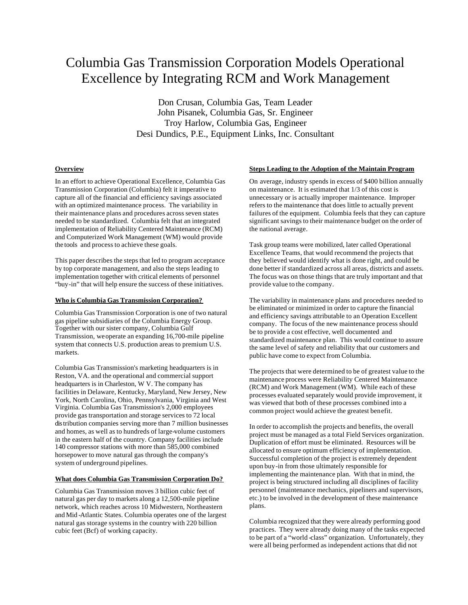# Columbia Gas Transmission Corporation Models Operational Excellence by Integrating RCM and Work Management

Don Crusan, Columbia Gas, Team Leader John Pisanek, Columbia Gas, Sr. Engineer Troy Harlow, Columbia Gas, Engineer Desi Dundics, P.E., Equipment Links, Inc. Consultant

# **Overview**

In an effort to achieve Operational Excellence, Columbia Gas Transmission Corporation (Columbia) felt it imperative to capture all of the financial and efficiency savings associated with an optimized maintenance process. The variability in their maintenance plans and procedures across seven states needed to be standardized. Columbia felt that an integrated implementation of Reliability Centered Maintenance (RCM) and Computerized Work Management (WM) would provide the tools and process to achieve these goals.

This paper describes the steps that led to program acceptance by top corporate management, and also the steps leading to implementation together with critical elements of personnel "buy-in" that will help ensure the success of these initiatives.

#### **Who is Columbia Gas Transmission Corporation?**

Columbia Gas Transmission Corporation is one of two natural gas pipeline subsidiaries of the Columbia Energy Group. Together with our sister company, Columbia Gulf Transmission, we operate an expanding 16,700-mile pipeline system that connects U.S. production areas to premium U.S. markets.

Columbia Gas Transmission's marketing headquarters is in Reston, VA. and the operational and commercial support headquarters is in Charleston, W V. The company has facilities in Delaware, Kentucky, Maryland, New Jersey, New York, North Carolina, Ohio, Pennsylvania, Virginia and West Virginia. Columbia Gas Transmission's 2,000 employees provide gas transportation and storage services to 72 local distribution companies serving more than 7 million businesses and homes, as well as to hundreds of large-volume customers in the eastern half of the country. Company facilities include 140 compressor stations with more than 585,000 combined horsepower to move natural gas through the company's system of underground pipelines.

#### **What does Columbia Gas Transmission Corporation Do?**

Columbia Gas Transmission moves 3 billion cubic feet of natural gas per day to markets along a 12,500-mile pipeline network, which reaches across 10 Midwestern, Northeastern and Mid -Atlantic States. Columbia operates one of the largest natural gas storage systems in the country with 220 billion cubic feet (Bcf) of working capacity.

# **Steps Leading to the Adoption of the Maintain Program**

On average, industry spends in excess of \$400 billion annually on maintenance. It is estimated that 1/3 of this cost is unnecessary or is actually improper maintenance. Improper refers to the maintenance that does little to actually prevent failures of the equipment. Columbia feels that they can capture significant savings to their maintenance budget on the order of the national average.

Task group teams were mobilized, later called Operational Excellence Teams, that would recommend the projects that they believed would identify what is done right, and could be done better if standardized across all areas, districts and assets. The focus was on those things that are truly important and that provide value to the company.

The variability in maintenance plans and procedures needed to be eliminated or minimized in order to capture the financial and efficiency savings attributable to an Operation Excellent company. The focus of the new maintenance process should be to provide a cost effective, well documented and standardized maintenance plan. This would continue to assure the same level of safety and reliability that our customers and public have come to expect from Columbia.

The projects that were determined to be of greatest value to the maintenance process were Reliability Centered Maintenance (RCM) and Work Management (WM). While each of these processes evaluated separately would provide improvement, it was viewed that both of these processes combined into a common project would achieve the greatest benefit.

In order to accomplish the projects and benefits, the overall project must be managed as a total Field Services organization. Duplication of effort must be eliminated. Resources will be allocated to ensure optimum efficiency of implementation. Successful completion of the project is extremely dependent upon buy-in from those ultimately responsible for implementing the maintenance plan. With that in mind, the project is being structured including all disciplines of facility personnel (maintenance mechanics, pipeliners and supervisors, etc.) to be involved in the development of these maintenance plans.

Columbia recognized that they were already performing good practices. They were already doing many of the tasks expected to be part of a "world -class" organization. Unfortunately, they were all being performed as independent actions that did not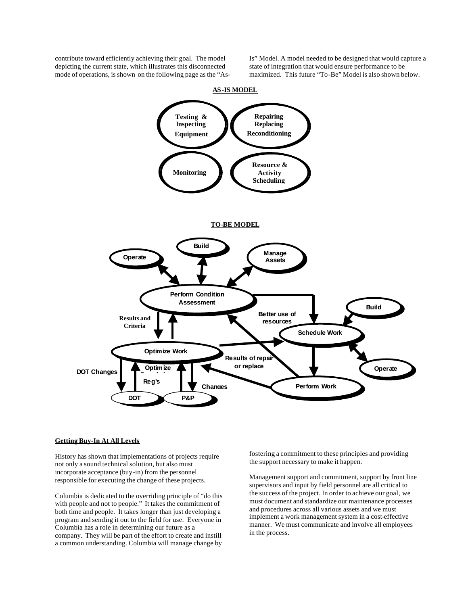contribute toward efficiently achieving their goal. The model depicting the current state, which illustrates this disconnected mode of operations, is shown on the following page as the "AsIs" Model. A model needed to be designed that would capture a state of integration that would ensure performance to be maximized. This future "To-Be" Model is also shown below.



#### **AS-IS MODEL**

#### **Getting Buy-In At All Levels**

History has shown that implementations of projects require not only a sound technical solution, but also must incorporate acceptance (buy-in) from the personnel responsible for executing the change of these projects.

Columbia is dedicated to the overriding principle of "do this with people and not to people." It takes the commitment of both time and people. It takes longer than just developing a program and sending it out to the field for use. Everyone in Columbia has a role in determining our future as a company. They will be part of the effort to create and instill a common understanding. Columbia will manage change by

fostering a commitment to these principles and providing the support necessary to make it happen.

Management support and commitment, support by front line supervisors and input by field personnel are all critical to the success of the project. In order to achieve our goal, we must document and standardize our maintenance processes and procedures across all various assets and we must implement a work management system in a cost-effective manner. We must communicate and involve all employees in the process.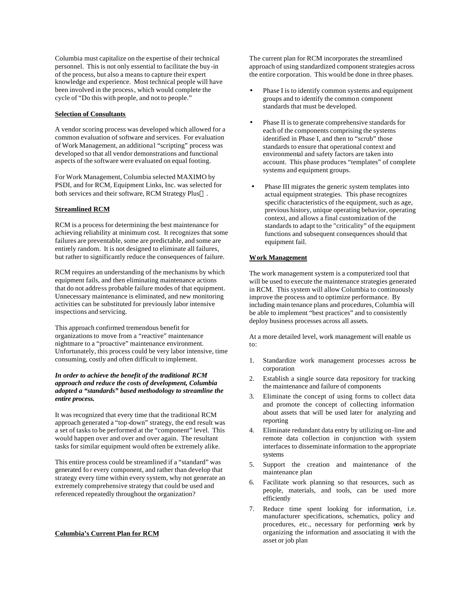Columbia must capitalize on the expertise of their technical personnel. This is not only essential to facilitate the buy-in of the process, but also a means to capture their expert knowledge and experience. Most technical people will have been involved in the process, which would complete the cycle of "Do this with people, and not to people."

## **Selection of Consultants**

A vendor scoring process was developed which allowed for a common evaluation of software and services. For evaluation of Work Management, an additional "scripting" process was developed so that all vendor demonstrations and functional aspects of the software were evaluated on equal footing.

For Work Management, Columbia selected MAXIMO by PSDI, and for RCM, Equipment Links, Inc. was selected for both services and their software, RCM Strategy Plus<sup>TM</sup>.

# **Streamlined RCM**

RCM is a process for determining the best maintenance for achieving reliability at minimum cost. It recognizes that some failures are preventable, some are predictable, and some are entirely random. It is not designed to eliminate all failures, but rather to significantly reduce the consequences of failure.

RCM requires an understanding of the mechanisms by which equipment fails, and then eliminating maintenance actions that do not address probable failure modes of that equipment. Unnecessary maintenance is eliminated, and new monitoring activities can be substituted for previously labor intensive inspections and servicing.

This approach confirmed tremendous benefit for organizations to move from a "reactive" maintenance nightmare to a "proactive" maintenance environment. Unfortunately, this process could be very labor intensive, time consuming, costly and often difficult to implement.

# *In order to achieve the benefit of the traditional RCM approach and reduce the costs of development, Columbia adopted a "standards" based methodology to streamline the entire process.*

It was recognized that every time that the traditional RCM approach generated a "top-down" strategy, the end result was a set of tasks to be performed at the "component" level. This would happen over and over and over again. The resultant tasks for similar equipment would often be extremely alike.

This entire process could be streamlined if a "standard" was generated fo r every component, and rather than develop that strategy every time within every system, why not generate an extremely comprehensive strategy that could be used and referenced repeatedly throughout the organization?

## **Columbia's Current Plan for RCM**

The current plan for RCM incorporates the streamlined approach of using standardized component strategies across the entire corporation. This would be done in three phases.

- Phase I is to identify common systems and equipment groups and to identify the common component standards that must be developed.
- Phase II is to generate comprehensive standards for each of the components comprising the systems identified in Phase I, and then to "scrub" those standards to ensure that operational context and environmental and safety factors are taken into account. This phase produces "templates" of complete systems and equipment groups.
- Phase III migrates the generic system templates into actual equipment strategies. This phase recognizes specific characteristics of the equipment, such as age, previous history, unique operating behavior, operating context, and allows a final customization of the standards to adapt to the "criticality" of the equipment functions and subsequent consequences should that equipment fail.

# **Work Management**

The work management system is a computerized tool that will be used to execute the maintenance strategies generated in RCM. This system will allow Columbia to continuously improve the process and to optimize performance. By including main tenance plans and procedures, Columbia will be able to implement "best practices" and to consistently deploy business processes across all assets.

At a more detailed level, work management will enable us to:

- 1. Standardize work management processes across the corporation
- 2. Establish a single source data repository for tracking the maintenance and failure of components
- 3. Eliminate the concept of using forms to collect data and promote the concept of collecting information about assets that will be used later for analyzing and reporting
- 4. Eliminate redundant data entry by utilizing on-line and remote data collection in conjunction with system interfaces to disseminate information to the appropriate systems
- 5. Support the creation and maintenance of the maintenance plan
- 6. Facilitate work planning so that resources, such as people, materials, and tools, can be used more efficiently
- 7. Reduce time spent looking for information, i.e. manufacturer specifications, schematics, policy and procedures, etc., necessary for performing work by organizing the information and associating it with the asset or job plan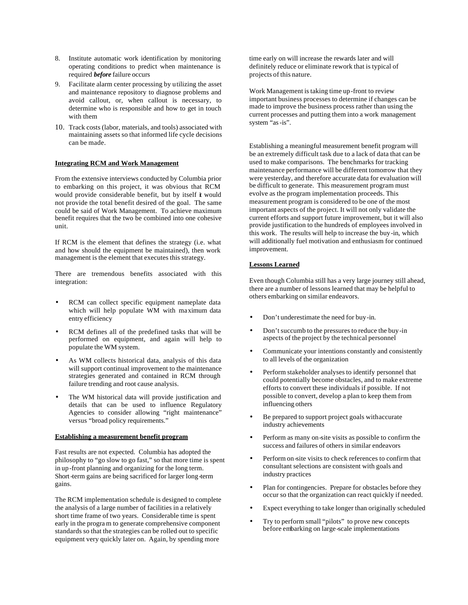- 8. Institute automatic work identification by monitoring operating conditions to predict when maintenance is required *before* failure occurs
- 9. Facilitate alarm center processing by utilizing the asset and maintenance repository to diagnose problems and avoid callout, or, when callout is necessary, to determine who is responsible and how to get in touch with them
- 10. Track costs (labor, materials, and tools) associated with maintaining assets so that informed life cycle decisions can be made.

# **Integrating RCM and Work Management**

From the extensive interviews conducted by Columbia prior to embarking on this project, it was obvious that RCM would provide considerable benefit, but by itself it would not provide the total benefit desired of the goal. The same could be said of Work Management. To achieve maximum benefit requires that the two be combined into one cohesive unit.

If RCM is the element that defines the strategy (i.e. what and how should the equipment be maintained), then work management is the element that executes this strategy.

There are tremendous benefits associated with this integration:

- RCM can collect specific equipment nameplate data which will help populate WM with maximum data entry efficiency
- RCM defines all of the predefined tasks that will be performed on equipment, and again will help to populate the WM system.
- As WM collects historical data, analysis of this data will support continual improvement to the maintenance strategies generated and contained in RCM through failure trending and root cause analysis.
- The WM historical data will provide justification and details that can be used to influence Regulatory Agencies to consider allowing "right maintenance" versus "broad policy requirements."

## **Establishing a measurement benefit program**

Fast results are not expected. Columbia has adopted the philosophy to "go slow to go fast," so that more time is spent in up-front planning and organizing for the long term. Short-term gains are being sacrificed for larger long-term gains.

The RCM implementation schedule is designed to complete the analysis of a large number of facilities in a relatively short time frame of two years. Considerable time is spent early in the progra m to generate comprehensive component standards so that the strategies can be rolled out to specific equipment very quickly later on. Again, by spending more

time early on will increase the rewards later and will definitely reduce or eliminate rework that is typical of projects of this nature.

Work Management is taking time up-front to review important business processes to determine if changes can be made to improve the business process rather than using the current processes and putting them into a work management system "as-is".

Establishing a meaningful measurement benefit program will be an extremely difficult task due to a lack of data that can be used to make comparisons. The benchmarks for tracking maintenance performance will be different tomorrow that they were yesterday, and therefore accurate data for evaluation will be difficult to generate. This measurement program must evolve as the program implementation proceeds. This measurement program is considered to be one of the most important aspects of the project. It will not only validate the current efforts and support future improvement, but it will also provide justification to the hundreds of employees involved in this work. The results will help to increase the buy-in, which will additionally fuel motivation and enthusiasm for continued improvement.

# **Lessons Learned**

Even though Columbia still has a very large journey still ahead, there are a number of lessons learned that may be helpful to others embarking on similar endeavors.

- Don't underestimate the need for buy-in.
- Don't succumb to the pressures to reduce the buy-in aspects of the project by the technical personnel
- Communicate your intentions constantly and consistently to all levels of the organization
- Perform stakeholder analyses to identify personnel that could potentially become obstacles, and to make extreme efforts to convert these individuals if possible. If not possible to convert, develop a plan to keep them from influencing others
- Be prepared to support project goals with accurate industry achievements
- Perform as many on-site visits as possible to confirm the success and failures of others in similar endeavors
- Perform on-site visits to check references to confirm that consultant selections are consistent with goals and industry practices
- Plan for contingencies. Prepare for obstacles before they occur so that the organization can react quickly if needed.
- Expect everything to take longer than originally scheduled
- Try to perform small "pilots" to prove new concepts before embarking on large-scale implementations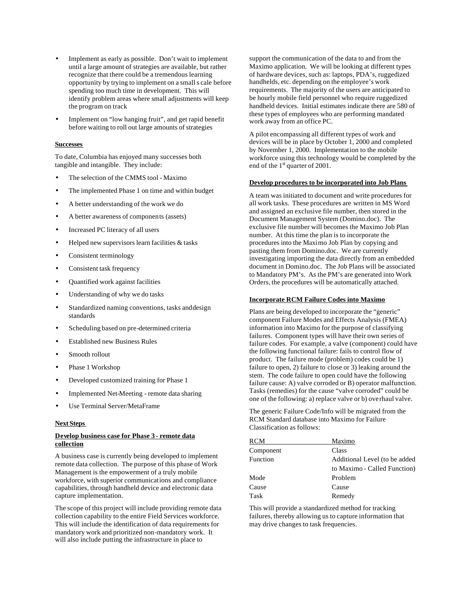- Implement as early as possible. Don't wait to implement until a large amount of strategies are available, but rather recognize that there could be a tremendous learning opportunity by trying to implement on a small s cale before spending too much time in development. This will identify problem areas where small adjustments will keep the program on track
- Implement on "low hanging fruit", and get rapid benefit before waiting to roll out large amounts of strategies

## **Successes**

To date, Columbia has enjoyed many successes both tangible and intangible. They include:

- The selection of the CMMS tool Maximo
- The implemented Phase 1 on time and within budget
- A better understanding of the work we do
- A better awareness of components (assets)
- Increased PC literacy of all users
- Helped new supervisors learn facilities & tasks
- Consistent terminology
- Consistent task frequency
- Quantified work against facilities
- Understanding of why we do tasks
- Standardized naming conventions, tasks and design standards
- Scheduling based on pre-determined criteria
- Established new Business Rules
- Smooth rollout
- Phase 1 Workshop
- Developed customized training for Phase 1
- Implemented Net-Meeting remote data sharing
- Use Terminal Server/MetaFrame

## **Next Steps**

# **Develop business case for Phase 3 - remote data collection**

A business case is currently being developed to implement remote data collection. The purpose of this phase of Work Management is the empowerment of a truly mobile workforce, with superior communications and compliance capabilities, through handheld device and electronic data capture implementation.

The scope of this project will include providing remote data collection capability to the entire Field Services workforce. This will include the identification of data requirements for mandatory work and prioritized non-mandatory work. It will also include putting the infrastructure in place to

support the communication of the data to and from the Maximo application. We will be looking at different types of hardware devices, such as: laptops, PDA's, ruggedized handhelds, etc. depending on the employee's work requirements. The majority of the users are anticipated to be hourly mobile field personnel who require ruggedized handheld devices. Initial estimates indicate there are 580 of these types of employees who are performing mandated work away from an office PC.

A pilot encompassing all different types of work and devices will be in place by October 1, 2000 and completed by November 1, 2000. Implementation to the mobile workforce using this technology would be completed by the end of the 1<sup>st</sup> quarter of 2001.

## **Develop procedures to be incorporated into Job Plans**

A team was initiated to document and write procedures for all work tasks. These procedures are written in MS Word and assigned an exclusive file number, then stored in the Document Management System (Domino.doc). The exclusive file number will becomes the Maximo Job Plan number. At this time the plan is to incorporate the procedures into the Maximo Job Plan by copying and pasting them from Domino.doc. We are currently investigating importing the data directly from an embedded document in Domino.doc. The Job Plans will be associated to Mandatory PM's. As the PM's are generated into Work Orders, the procedures will be automatically attached.

# **Incorporate RCM Failure Codes into Maximo**

Plans are being developed to incorporate the "generic" component Failure Modes and Effects Analysis (FMEA) information into Maximo for the purpose of classifying failures. Component types will have their own series of failure codes. For example, a valve (component) could have the following functional failure: fails to control flow of product. The failure mode (problem) codes could be 1) failure to open, 2) failure to close or 3) leaking around the stem. The code failure to open could have the following failure cause: A) valve corroded or B) operator malfunction. Tasks (remedies) for the cause "valve corroded" could be one of the following: a) replace valve or b) overhaul valve.

The generic Failure Code/Info will be migrated from the RCM Standard database into Maximo for Failure Classification as follows:

| <b>RCM</b> | Maximo                        |
|------------|-------------------------------|
| Component  | Class                         |
| Function   | Additional Level (to be added |
|            | to Maximo - Called Function)  |
| Mode       | Problem                       |
| Cause      | Cause                         |
| Task       | Remedy                        |
|            |                               |

This will provide a standardized method for tracking failures, thereby allowing us to capture information that may drive changes to task frequencies.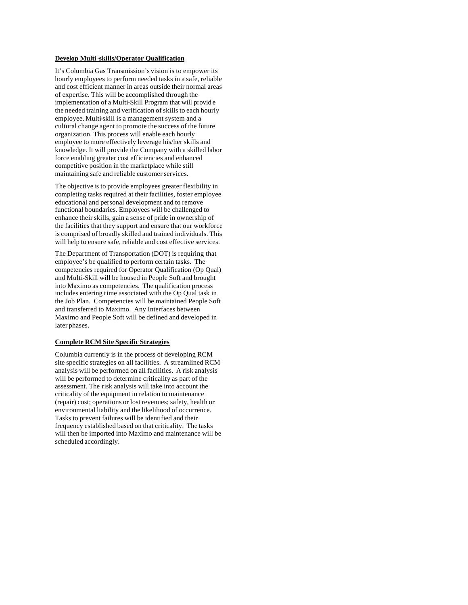# **Develop Multi-skills/Operator Qualification**

It's Columbia Gas Transmission's vision is to empower its hourly employees to perform needed tasks in a safe, reliable and cost efficient manner in areas outside their normal areas of expertise. This will be accomplished through the implementation of a Multi-Skill Program that will provid e the needed training and verification of skills to each hourly employee. Multi-skill is a management system and a cultural change agent to promote the success of the future organization. This process will enable each hourly employee to more effectively leverage his/her skills and knowledge. It will provide the Company with a skilled labor force enabling greater cost efficiencies and enhanced competitive position in the marketplace while still maintaining safe and reliable customer services.

The objective is to provide employees greater flexibility in completing tasks required at their facilities, foster employee educational and personal development and to remove functional boundaries. Employees will be challenged to enhance their skills, gain a sense of pride in ownership of the facilities that they support and ensure that our workforce is comprised of broadly skilled and trained individuals. This will help to ensure safe, reliable and cost effective services.

The Department of Transportation (DOT) is requiring that employee's be qualified to perform certain tasks. The competencies required for Operator Qualification (Op Qual) and Multi-Skill will be housed in People Soft and brought into Maximo as competencies. The qualification process includes entering time associated with the Op Qual task in the Job Plan. Competencies will be maintained People Soft and transferred to Maximo. Any Interfaces between Maximo and People Soft will be defined and developed in later phases.

# **Complete RCM Site Specific Strategies**

Columbia currently is in the process of developing RCM site specific strategies on all facilities. A streamlined RCM analysis will be performed on all facilities. A risk analysis will be performed to determine criticality as part of the assessment. The risk analysis will take into account the criticality of the equipment in relation to maintenance (repair) cost; operations or lost revenues; safety, health or environmental liability and the likelihood of occurrence. Tasks to prevent failures will be identified and their frequency established based on that criticality. The tasks will then be imported into Maximo and maintenance will be scheduled accordingly.